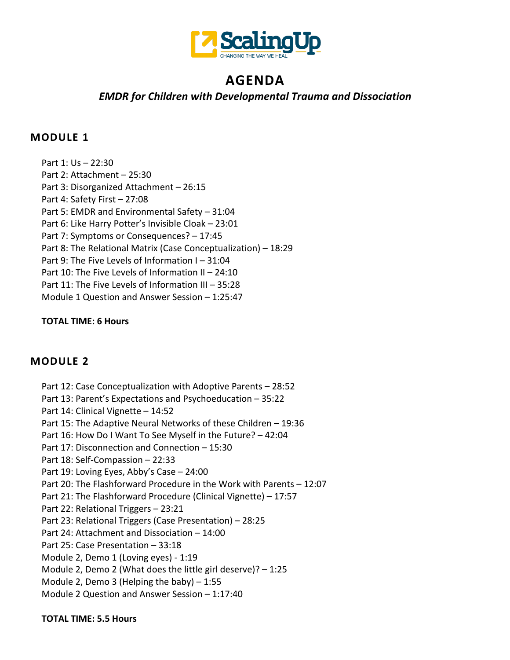

# **AGENDA**

# *EMDR for Children with Developmental Trauma and Dissociation*

#### **MODULE 1**

Part 1: Us – 22:30 Part 2: Attachment – 25:30 Part 3: Disorganized Attachment – 26:15 Part 4: Safety First – 27:08 Part 5: EMDR and Environmental Safety – 31:04 Part 6: Like Harry Potter's Invisible Cloak – 23:01 Part 7: Symptoms or Consequences? – 17:45 Part 8: The Relational Matrix (Case Conceptualization) – 18:29 Part 9: The Five Levels of Information I – 31:04 Part 10: The Five Levels of Information II – 24:10 Part 11: The Five Levels of Information III – 35:28 Module 1 Question and Answer Session – 1:25:47

#### **TOTAL TIME: 6 Hours**

# **MODULE 2**

Part 12: Case Conceptualization with Adoptive Parents – 28:52 Part 13: Parent's Expectations and Psychoeducation – 35:22 Part 14: Clinical Vignette – 14:52 Part 15: The Adaptive Neural Networks of these Children – 19:36 Part 16: How Do I Want To See Myself in the Future? – 42:04 Part 17: Disconnection and Connection – 15:30 Part 18: Self-Compassion – 22:33 Part 19: Loving Eyes, Abby's Case – 24:00 Part 20: The Flashforward Procedure in the Work with Parents – 12:07 Part 21: The Flashforward Procedure (Clinical Vignette) – 17:57 Part 22: Relational Triggers – 23:21 Part 23: Relational Triggers (Case Presentation) – 28:25 Part 24: Attachment and Dissociation – 14:00 Part 25: Case Presentation – 33:18 Module 2, Demo 1 (Loving eyes) - 1:19 Module 2, Demo 2 (What does the little girl deserve)? – 1:25 Module 2, Demo 3 (Helping the baby) – 1:55 Module 2 Question and Answer Session – 1:17:40

#### **TOTAL TIME: 5.5 Hours**